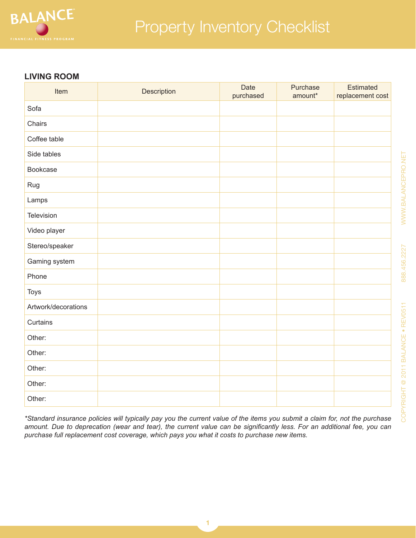

#### **LIVING ROOM**

| Item                | Description | Date<br>purchased | Purchase<br>amount* | <b>Estimated</b><br>replacement cost |
|---------------------|-------------|-------------------|---------------------|--------------------------------------|
| Sofa                |             |                   |                     |                                      |
| Chairs              |             |                   |                     |                                      |
| Coffee table        |             |                   |                     |                                      |
| Side tables         |             |                   |                     |                                      |
| Bookcase            |             |                   |                     |                                      |
| Rug                 |             |                   |                     |                                      |
| Lamps               |             |                   |                     |                                      |
| Television          |             |                   |                     |                                      |
| Video player        |             |                   |                     |                                      |
| Stereo/speaker      |             |                   |                     |                                      |
| Gaming system       |             |                   |                     |                                      |
| Phone               |             |                   |                     |                                      |
| <b>Toys</b>         |             |                   |                     |                                      |
| Artwork/decorations |             |                   |                     |                                      |
| Curtains            |             |                   |                     |                                      |
| Other:              |             |                   |                     |                                      |
| Other:              |             |                   |                     |                                      |
| Other:              |             |                   |                     |                                      |
| Other:              |             |                   |                     |                                      |
| Other:              |             |                   |                     |                                      |

*\*Standard insurance policies will typically pay you the current value of the items you submit a claim for, not the purchase amount. Due to deprecation (wear and tear), the current value can be significantly less. For an additional fee, you can purchase full replacement cost coverage, which pays you what it costs to purchase new items.*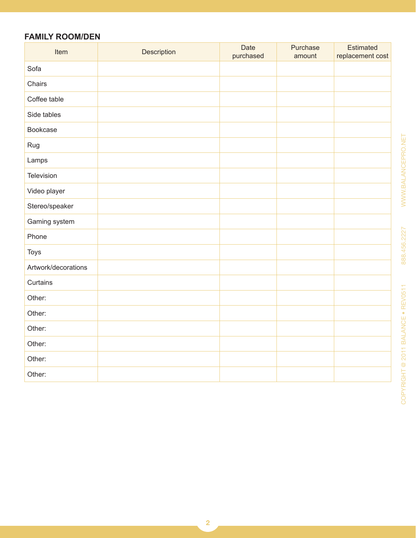# **FAMILY ROOM/DEN**

| Item                | Description | Date<br>purchased | Purchase<br>amount | <b>Estimated</b><br>replacement cost |
|---------------------|-------------|-------------------|--------------------|--------------------------------------|
| Sofa                |             |                   |                    |                                      |
| Chairs              |             |                   |                    |                                      |
| Coffee table        |             |                   |                    |                                      |
| Side tables         |             |                   |                    |                                      |
| Bookcase            |             |                   |                    |                                      |
| Rug                 |             |                   |                    |                                      |
| Lamps               |             |                   |                    |                                      |
| Television          |             |                   |                    |                                      |
| Video player        |             |                   |                    |                                      |
| Stereo/speaker      |             |                   |                    |                                      |
| Gaming system       |             |                   |                    |                                      |
| Phone               |             |                   |                    |                                      |
| Toys                |             |                   |                    |                                      |
| Artwork/decorations |             |                   |                    |                                      |
| Curtains            |             |                   |                    |                                      |
| Other:              |             |                   |                    |                                      |
| Other:              |             |                   |                    |                                      |
| Other:              |             |                   |                    |                                      |
| Other:              |             |                   |                    |                                      |
| Other:              |             |                   |                    |                                      |
| Other:              |             |                   |                    |                                      |

888.456.2227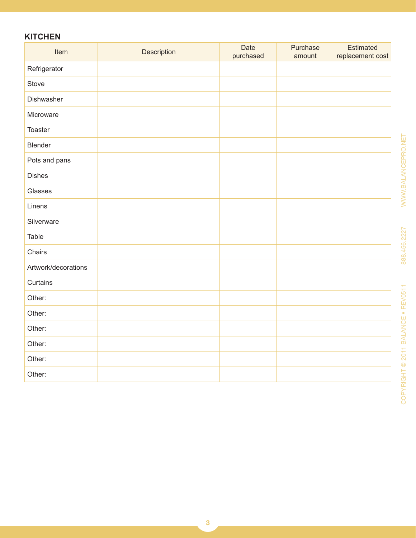# **KITCHEN**

| Item                | Description | Date<br>purchased | Purchase<br>amount | <b>Estimated</b><br>replacement cost |
|---------------------|-------------|-------------------|--------------------|--------------------------------------|
| Refrigerator        |             |                   |                    |                                      |
| Stove               |             |                   |                    |                                      |
| Dishwasher          |             |                   |                    |                                      |
| Microware           |             |                   |                    |                                      |
| Toaster             |             |                   |                    |                                      |
| Blender             |             |                   |                    |                                      |
| Pots and pans       |             |                   |                    |                                      |
| <b>Dishes</b>       |             |                   |                    |                                      |
| Glasses             |             |                   |                    |                                      |
| Linens              |             |                   |                    |                                      |
| Silverware          |             |                   |                    |                                      |
| Table               |             |                   |                    |                                      |
| Chairs              |             |                   |                    |                                      |
| Artwork/decorations |             |                   |                    |                                      |
| Curtains            |             |                   |                    |                                      |
| Other:              |             |                   |                    |                                      |
| Other:              |             |                   |                    |                                      |
| Other:              |             |                   |                    |                                      |
| Other:              |             |                   |                    |                                      |
| Other:              |             |                   |                    |                                      |
| Other:              |             |                   |                    |                                      |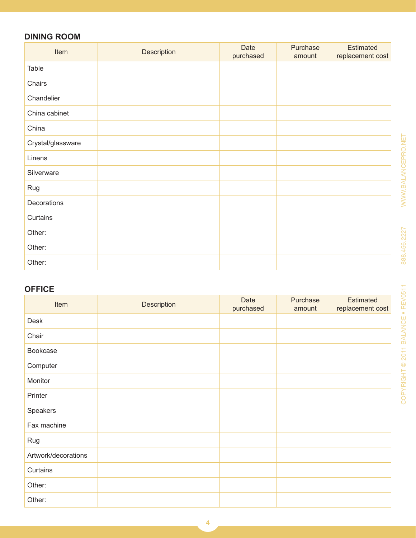# **DINING ROOM**

| Item              | Description | <b>Date</b><br>purchased | Purchase<br>amount | <b>Estimated</b><br>replacement cost |
|-------------------|-------------|--------------------------|--------------------|--------------------------------------|
| Table             |             |                          |                    |                                      |
| Chairs            |             |                          |                    |                                      |
| Chandelier        |             |                          |                    |                                      |
| China cabinet     |             |                          |                    |                                      |
| China             |             |                          |                    |                                      |
| Crystal/glassware |             |                          |                    |                                      |
| Linens            |             |                          |                    |                                      |
| Silverware        |             |                          |                    |                                      |
| Rug               |             |                          |                    |                                      |
| Decorations       |             |                          |                    |                                      |
| Curtains          |             |                          |                    |                                      |
| Other:            |             |                          |                    |                                      |
| Other:            |             |                          |                    |                                      |
| Other:            |             |                          |                    |                                      |

### **OFFICE**

| Item                | Description | Date<br>purchased | Purchase<br>amount | <b>Estimated</b><br>replacement cost |
|---------------------|-------------|-------------------|--------------------|--------------------------------------|
| Desk                |             |                   |                    |                                      |
| Chair               |             |                   |                    |                                      |
| Bookcase            |             |                   |                    |                                      |
| Computer            |             |                   |                    |                                      |
| Monitor             |             |                   |                    |                                      |
| Printer             |             |                   |                    |                                      |
| Speakers            |             |                   |                    |                                      |
| Fax machine         |             |                   |                    |                                      |
| Rug                 |             |                   |                    |                                      |
| Artwork/decorations |             |                   |                    |                                      |
| Curtains            |             |                   |                    |                                      |
| Other:              |             |                   |                    |                                      |
| Other:              |             |                   |                    |                                      |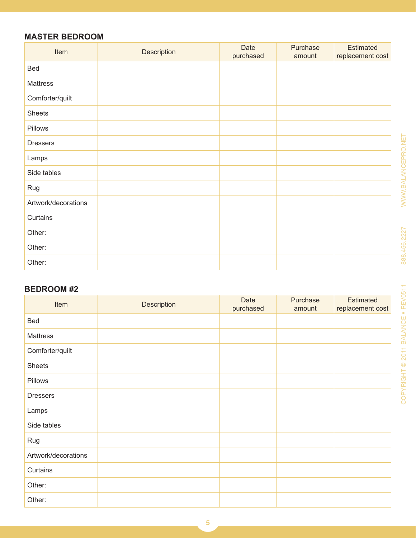# **MASTER BEDROOM**

| Item                | Description | <b>Date</b><br>purchased | Purchase<br>amount | <b>Estimated</b><br>replacement cost |
|---------------------|-------------|--------------------------|--------------------|--------------------------------------|
| Bed                 |             |                          |                    |                                      |
| Mattress            |             |                          |                    |                                      |
| Comforter/quilt     |             |                          |                    |                                      |
| <b>Sheets</b>       |             |                          |                    |                                      |
| Pillows             |             |                          |                    |                                      |
| <b>Dressers</b>     |             |                          |                    |                                      |
| Lamps               |             |                          |                    |                                      |
| Side tables         |             |                          |                    |                                      |
| Rug                 |             |                          |                    |                                      |
| Artwork/decorations |             |                          |                    |                                      |
| Curtains            |             |                          |                    |                                      |
| Other:              |             |                          |                    |                                      |
| Other:              |             |                          |                    |                                      |
| Other:              |             |                          |                    |                                      |

### **BEDROOM #2**

| Item                | Description | <b>Date</b><br>purchased | Purchase<br>amount | <b>Estimated</b><br>replacement cost |
|---------------------|-------------|--------------------------|--------------------|--------------------------------------|
| Bed                 |             |                          |                    |                                      |
| Mattress            |             |                          |                    |                                      |
| Comforter/quilt     |             |                          |                    |                                      |
| <b>Sheets</b>       |             |                          |                    |                                      |
| Pillows             |             |                          |                    |                                      |
| <b>Dressers</b>     |             |                          |                    |                                      |
| Lamps               |             |                          |                    |                                      |
| Side tables         |             |                          |                    |                                      |
| Rug                 |             |                          |                    |                                      |
| Artwork/decorations |             |                          |                    |                                      |
| Curtains            |             |                          |                    |                                      |
| Other:              |             |                          |                    |                                      |
| Other:              |             |                          |                    |                                      |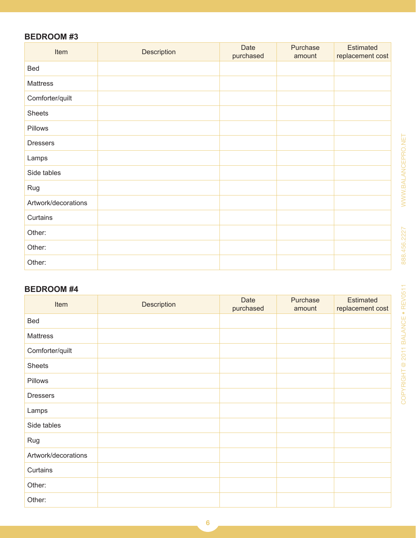### **BEDROOM #3**

| Item                | Description | Date<br>purchased | Purchase<br>amount | <b>Estimated</b><br>replacement cost |
|---------------------|-------------|-------------------|--------------------|--------------------------------------|
| Bed                 |             |                   |                    |                                      |
| Mattress            |             |                   |                    |                                      |
| Comforter/quilt     |             |                   |                    |                                      |
| <b>Sheets</b>       |             |                   |                    |                                      |
| Pillows             |             |                   |                    |                                      |
| <b>Dressers</b>     |             |                   |                    |                                      |
| Lamps               |             |                   |                    |                                      |
| Side tables         |             |                   |                    |                                      |
| Rug                 |             |                   |                    |                                      |
| Artwork/decorations |             |                   |                    |                                      |
| Curtains            |             |                   |                    |                                      |
| Other:              |             |                   |                    |                                      |
| Other:              |             |                   |                    |                                      |
| Other:              |             |                   |                    |                                      |

### **BEDROOM #4**

| Item                | Description | Date<br>purchased | Purchase<br>amount | <b>Estimated</b><br>replacement cost |
|---------------------|-------------|-------------------|--------------------|--------------------------------------|
| Bed                 |             |                   |                    |                                      |
| Mattress            |             |                   |                    |                                      |
| Comforter/quilt     |             |                   |                    |                                      |
| <b>Sheets</b>       |             |                   |                    |                                      |
| Pillows             |             |                   |                    |                                      |
| <b>Dressers</b>     |             |                   |                    |                                      |
| Lamps               |             |                   |                    |                                      |
| Side tables         |             |                   |                    |                                      |
| Rug                 |             |                   |                    |                                      |
| Artwork/decorations |             |                   |                    |                                      |
| Curtains            |             |                   |                    |                                      |
| Other:              |             |                   |                    |                                      |
| Other:              |             |                   |                    |                                      |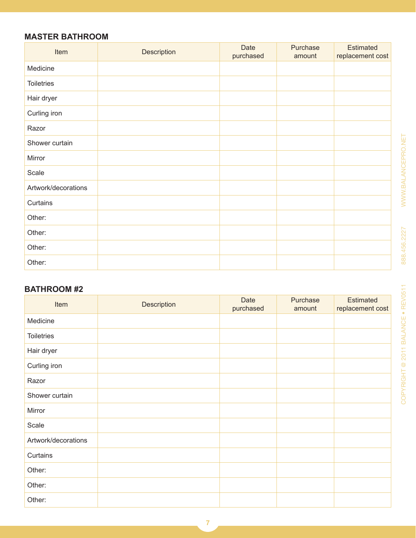### **MASTER BATHROOM**

| Item                | Description | <b>Date</b><br>purchased | Purchase<br>amount | <b>Estimated</b><br>replacement cost |
|---------------------|-------------|--------------------------|--------------------|--------------------------------------|
| Medicine            |             |                          |                    |                                      |
| <b>Toiletries</b>   |             |                          |                    |                                      |
| Hair dryer          |             |                          |                    |                                      |
| Curling iron        |             |                          |                    |                                      |
| Razor               |             |                          |                    |                                      |
| Shower curtain      |             |                          |                    |                                      |
| Mirror              |             |                          |                    |                                      |
| Scale               |             |                          |                    |                                      |
| Artwork/decorations |             |                          |                    |                                      |
| Curtains            |             |                          |                    |                                      |
| Other:              |             |                          |                    |                                      |
| Other:              |             |                          |                    |                                      |
| Other:              |             |                          |                    |                                      |
| Other:              |             |                          |                    |                                      |

### **BATHROOM #2**

| Item                | Description | Date<br>purchased | Purchase<br>amount | <b>Estimated</b><br>replacement cost |
|---------------------|-------------|-------------------|--------------------|--------------------------------------|
| Medicine            |             |                   |                    |                                      |
| <b>Toiletries</b>   |             |                   |                    |                                      |
| Hair dryer          |             |                   |                    |                                      |
| Curling iron        |             |                   |                    |                                      |
| Razor               |             |                   |                    |                                      |
| Shower curtain      |             |                   |                    |                                      |
| Mirror              |             |                   |                    |                                      |
| Scale               |             |                   |                    |                                      |
| Artwork/decorations |             |                   |                    |                                      |
| Curtains            |             |                   |                    |                                      |
| Other:              |             |                   |                    |                                      |
| Other:              |             |                   |                    |                                      |
| Other:              |             |                   |                    |                                      |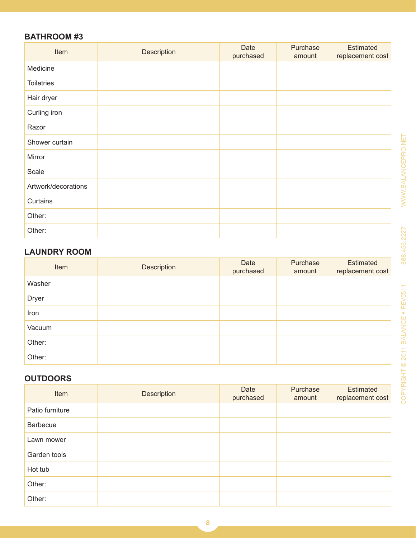### **BATHROOM #3**

| Item                | Description | <b>Date</b><br>purchased | Purchase<br>amount | <b>Estimated</b><br>replacement cost |
|---------------------|-------------|--------------------------|--------------------|--------------------------------------|
| Medicine            |             |                          |                    |                                      |
| <b>Toiletries</b>   |             |                          |                    |                                      |
| Hair dryer          |             |                          |                    |                                      |
| Curling iron        |             |                          |                    |                                      |
| Razor               |             |                          |                    |                                      |
| Shower curtain      |             |                          |                    |                                      |
| Mirror              |             |                          |                    |                                      |
| Scale               |             |                          |                    |                                      |
| Artwork/decorations |             |                          |                    |                                      |
| Curtains            |             |                          |                    |                                      |
| Other:              |             |                          |                    |                                      |
| Other:              |             |                          |                    |                                      |

# **LAUNDRY ROOM**

| Item         | Description | Date<br>purchased | Purchase<br>amount | Estimated<br>replacement cost |
|--------------|-------------|-------------------|--------------------|-------------------------------|
| Washer       |             |                   |                    |                               |
| <b>Dryer</b> |             |                   |                    |                               |
| Iron         |             |                   |                    |                               |
| Vacuum       |             |                   |                    |                               |
| Other:       |             |                   |                    |                               |
| Other:       |             |                   |                    |                               |

# **OUTDOORS**

| Item            | Description | Date<br>purchased | Purchase<br>amount | Estimated<br>replacement cost |
|-----------------|-------------|-------------------|--------------------|-------------------------------|
| Patio furniture |             |                   |                    |                               |
| <b>Barbecue</b> |             |                   |                    |                               |
| Lawn mower      |             |                   |                    |                               |
| Garden tools    |             |                   |                    |                               |
| Hot tub         |             |                   |                    |                               |
| Other:          |             |                   |                    |                               |
| Other:          |             |                   |                    |                               |